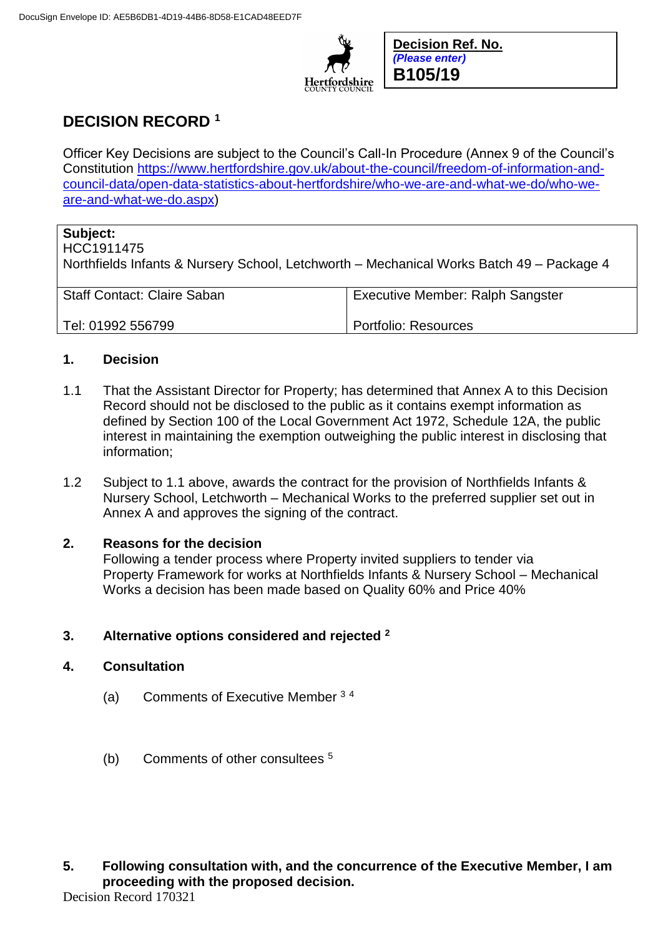

**Decision Ref. No.** *(Please enter)* **B105/19**

# **DECISION RECORD <sup>1</sup>**

Officer Key Decisions are subject to the Council's Call-In Procedure (Annex 9 of the Council's Constitution [https://www.hertfordshire.gov.uk/about-the-council/freedom-of-information-and](https://www.hertfordshire.gov.uk/about-the-council/freedom-of-information-and-council-data/open-data-statistics-about-hertfordshire/who-we-are-and-what-we-do/who-we-are-and-what-we-do.aspx)[council-data/open-data-statistics-about-hertfordshire/who-we-are-and-what-we-do/who-we](https://www.hertfordshire.gov.uk/about-the-council/freedom-of-information-and-council-data/open-data-statistics-about-hertfordshire/who-we-are-and-what-we-do/who-we-are-and-what-we-do.aspx)[are-and-what-we-do.aspx\)](https://www.hertfordshire.gov.uk/about-the-council/freedom-of-information-and-council-data/open-data-statistics-about-hertfordshire/who-we-are-and-what-we-do/who-we-are-and-what-we-do.aspx)

# **Subject:**

HCC1911475

Northfields Infants & Nursery School, Letchworth – Mechanical Works Batch 49 – Package 4

Staff Contact: Claire Saban

Portfolio: Resources

Executive Member: Ralph Sangster

## **1. Decision**

Tel: 01992 556799

- 1.1 That the Assistant Director for Property; has determined that Annex A to this Decision Record should not be disclosed to the public as it contains exempt information as defined by Section 100 of the Local Government Act 1972, Schedule 12A, the public interest in maintaining the exemption outweighing the public interest in disclosing that information;
- 1.2 Subject to 1.1 above, awards the contract for the provision of Northfields Infants & Nursery School, Letchworth – Mechanical Works to the preferred supplier set out in Annex A and approves the signing of the contract.

## **2. Reasons for the decision**

Following a tender process where Property invited suppliers to tender via Property Framework for works at Northfields Infants & Nursery School – Mechanical Works a decision has been made based on Quality 60% and Price 40%

## **3. Alternative options considered and rejected <sup>2</sup>**

#### **4. Consultation**

- (a) Comments of Executive Member <sup>3</sup> <sup>4</sup>
- (b) Comments of other consultees <sup>5</sup>

## **5. Following consultation with, and the concurrence of the Executive Member, I am proceeding with the proposed decision.**

Decision Record 170321